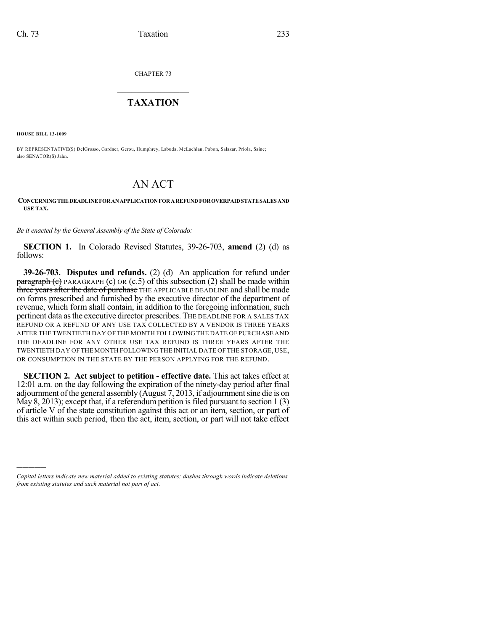CHAPTER 73

## $\mathcal{L}_\text{max}$  . The set of the set of the set of the set of the set of the set of the set of the set of the set of the set of the set of the set of the set of the set of the set of the set of the set of the set of the set **TAXATION**  $\_$

**HOUSE BILL 13-1009**

)))))

BY REPRESENTATIVE(S) DelGrosso, Gardner, Gerou, Humphrey, Labuda, McLachlan, Pabon, Salazar, Priola, Saine; also SENATOR(S) Jahn.

## AN ACT

## **CONCERNINGTHE DEADLINE FORANAPPLICATIONFORAREFUNDFOROVERPAIDSTATESALES AND USE TAX.**

*Be it enacted by the General Assembly of the State of Colorado:*

**SECTION 1.** In Colorado Revised Statutes, 39-26-703, **amend** (2) (d) as follows:

**39-26-703. Disputes and refunds.** (2) (d) An application for refund under **paragraph (c)** PARAGRAPH (c) OR (c.5) of this subsection (2) shall be made within three years after the date of purchase THE APPLICABLE DEADLINE and shall be made on forms prescribed and furnished by the executive director of the department of revenue, which form shall contain, in addition to the foregoing information, such pertinent data asthe executive director prescribes. THE DEADLINE FOR A SALES TAX REFUND OR A REFUND OF ANY USE TAX COLLECTED BY A VENDOR IS THREE YEARS AFTER THE TWENTIETH DAY OF THE MONTH FOLLOWING THE DATE OF PURCHASE AND THE DEADLINE FOR ANY OTHER USE TAX REFUND IS THREE YEARS AFTER THE TWENTIETH DAY OF THE MONTH FOLLOWING THE INITIAL DATE OF THE STORAGE, USE, OR CONSUMPTION IN THE STATE BY THE PERSON APPLYING FOR THE REFUND.

**SECTION 2. Act subject to petition - effective date.** This act takes effect at 12:01 a.m. on the day following the expiration of the ninety-day period after final adjournment of the general assembly (August 7, 2013, if adjournment sine die is on May 8, 2013); except that, if a referendum petition is filed pursuant to section  $1(3)$ of article V of the state constitution against this act or an item, section, or part of this act within such period, then the act, item, section, or part will not take effect

*Capital letters indicate new material added to existing statutes; dashes through words indicate deletions from existing statutes and such material not part of act.*